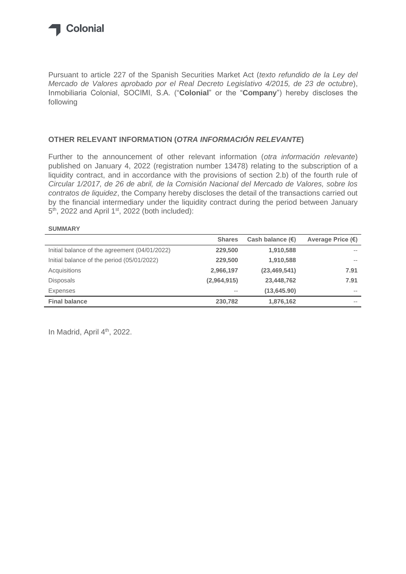

Pursuant to article 227 of the Spanish Securities Market Act (*texto refundido de la Ley del Mercado de Valores aprobado por el Real Decreto Legislativo 4/2015, de 23 de octubre*), Inmobiliaria Colonial, SOCIMI, S.A. ("**Colonial**" or the "**Company**") hereby discloses the following

## **OTHER RELEVANT INFORMATION (***OTRA INFORMACIÓN RELEVANTE***)**

Further to the announcement of other relevant information (*otra información relevante*) published on January 4, 2022 (registration number 13478) relating to the subscription of a liquidity contract, and in accordance with the provisions of section 2.b) of the fourth rule of *Circular 1/2017, de 26 de abril, de la Comisión Nacional del Mercado de Valores, sobre los contratos de liquidez*, the Company hereby discloses the detail of the transactions carried out by the financial intermediary under the liquidity contract during the period between January 5<sup>th</sup>, 2022 and April 1<sup>st</sup>, 2022 (both included):

## **SUMMARY**

|                                               | <b>Shares</b> | Cash balance $(\epsilon)$ | Average Price $(\epsilon)$ |
|-----------------------------------------------|---------------|---------------------------|----------------------------|
| Initial balance of the agreement (04/01/2022) | 229,500       | 1,910,588                 | $- -$                      |
| Initial balance of the period (05/01/2022)    | 229,500       | 1,910,588                 | $- -$                      |
| Acquisitions                                  | 2,966,197     | (23, 469, 541)            | 7.91                       |
| <b>Disposals</b>                              | (2,964,915)   | 23,448,762                | 7.91                       |
| Expenses                                      | $- -$         | (13, 645.90)              | $\sim$ $-$                 |
| <b>Final balance</b>                          | 230,782       | 1,876,162                 | $- -$                      |

In Madrid, April 4<sup>th</sup>, 2022.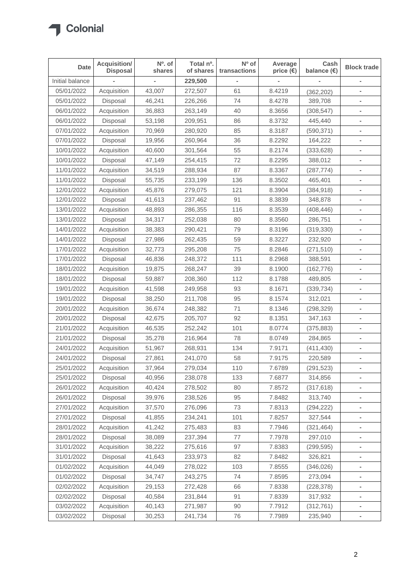

| <b>Date</b>     | Acquisition/<br><b>Disposal</b> | Nº. of<br>shares | Total nº.<br>of shares | Nº of<br>transactions | Average<br>price $(\epsilon)$ | Cash<br>balance (€) | <b>Block trade</b>       |
|-----------------|---------------------------------|------------------|------------------------|-----------------------|-------------------------------|---------------------|--------------------------|
| Initial balance |                                 |                  | 229,500                |                       |                               |                     |                          |
| 05/01/2022      | Acquisition                     | 43,007           | 272,507                | 61                    | 8.4219                        | (362, 202)          |                          |
| 05/01/2022      | Disposal                        | 46,241           | 226,266                | 74                    | 8.4278                        | 389,708             |                          |
| 06/01/2022      | Acquisition                     | 36,883           | 263,149                | 40                    | 8.3656                        | (308, 547)          |                          |
| 06/01/2022      | Disposal                        | 53,198           | 209,951                | 86                    | 8.3732                        | 445,440             |                          |
| 07/01/2022      | Acquisition                     | 70,969           | 280,920                | 85                    | 8.3187                        | (590, 371)          |                          |
| 07/01/2022      | Disposal                        | 19,956           | 260,964                | 36                    | 8.2292                        | 164,222             | $\overline{\phantom{a}}$ |
| 10/01/2022      | Acquisition                     | 40,600           | 301,564                | 55                    | 8.2174                        | (333, 628)          |                          |
| 10/01/2022      | Disposal                        | 47,149           | 254,415                | 72                    | 8.2295                        | 388,012             | ۰                        |
| 11/01/2022      | Acquisition                     | 34,519           | 288,934                | 87                    | 8.3367                        | (287, 774)          |                          |
| 11/01/2022      | Disposal                        | 55,735           | 233,199                | 136                   | 8.3502                        | 465,401             |                          |
| 12/01/2022      | Acquisition                     | 45,876           | 279,075                | 121                   | 8.3904                        | (384, 918)          |                          |
| 12/01/2022      | Disposal                        | 41,613           | 237,462                | 91                    | 8.3839                        | 348,878             |                          |
| 13/01/2022      | Acquisition                     | 48,893           | 286,355                | 116                   | 8.3539                        | (408, 446)          | ۰                        |
| 13/01/2022      | Disposal                        | 34,317           | 252,038                | 80                    | 8.3560                        | 286,751             |                          |
| 14/01/2022      | Acquisition                     | 38,383           | 290,421                | 79                    | 8.3196                        | (319,330)           | $\overline{\phantom{a}}$ |
| 14/01/2022      | Disposal                        | 27,986           | 262,435                | 59                    | 8.3227                        | 232,920             |                          |
| 17/01/2022      | Acquisition                     | 32,773           | 295,208                | 75                    | 8.2846                        | (271, 510)          |                          |
| 17/01/2022      | Disposal                        | 46,836           | 248,372                | 111                   | 8.2968                        | 388,591             | $\blacksquare$           |
| 18/01/2022      | Acquisition                     | 19,875           | 268,247                | 39                    | 8.1900                        | (162, 776)          |                          |
| 18/01/2022      | Disposal                        | 59,887           | 208,360                | 112                   | 8.1788                        | 489,805             | $\blacksquare$           |
| 19/01/2022      | Acquisition                     | 41,598           | 249,958                | 93                    | 8.1671                        | (339, 734)          |                          |
| 19/01/2022      | Disposal                        | 38,250           | 211,708                | 95                    | 8.1574                        | 312,021             |                          |
| 20/01/2022      | Acquisition                     | 36,674           | 248,382                | 71                    | 8.1346                        | (298, 329)          |                          |
| 20/01/2022      | Disposal                        | 42,675           | 205,707                | 92                    | 8.1351                        | 347,163             |                          |
| 21/01/2022      | Acquisition                     | 46,535           | 252,242                | 101                   | 8.0774                        | (375, 883)          | ۰                        |
| 21/01/2022      | Disposal                        | 35,278           | 216,964                | 78                    | 8.0749                        | 284,865             |                          |
| 24/01/2022      | Acquisition                     | 51,967           | 268,931                | 134                   | 7.9171                        | (411, 430)          |                          |
| 24/01/2022      | Disposal                        | 27,861           | 241,070                | 58                    | 7.9175                        | 220,589             | $\overline{\phantom{0}}$ |
| 25/01/2022      | Acquisition                     | 37,964           | 279,034                | 110                   | 7.6789                        | (291, 523)          |                          |
| 25/01/2022      | Disposal                        | 40,956           | 238,078                | 133                   | 7.6877                        | 314,856             |                          |
| 26/01/2022      | Acquisition                     | 40,424           | 278,502                | 80                    | 7.8572                        | (317, 618)          |                          |
| 26/01/2022      | Disposal                        | 39,976           | 238,526                | 95                    | 7.8482                        | 313,740             | ٠                        |
| 27/01/2022      | Acquisition                     | 37,570           | 276,096                | 73                    | 7.8313                        | (294, 222)          |                          |
| 27/01/2022      | Disposal                        | 41,855           | 234,241                | 101                   | 7.8257                        | 327,544             |                          |
| 28/01/2022      | Acquisition                     | 41,242           | 275,483                | 83                    | 7.7946                        | (321, 464)          |                          |
| 28/01/2022      | Disposal                        | 38,089           | 237,394                | 77                    | 7.7978                        | 297,010             |                          |
| 31/01/2022      | Acquisition                     | 38,222           | 275,616                | 97                    | 7.8383                        | (299, 595)          | $\blacksquare$           |
| 31/01/2022      | Disposal                        | 41,643           | 233,973                | 82                    | 7.8482                        | 326,821             |                          |
| 01/02/2022      | Acquisition                     | 44,049           | 278,022                | 103                   | 7.8555                        | (346, 026)          | ٠                        |
| 01/02/2022      | Disposal                        | 34,747           | 243,275                | 74                    | 7.8595                        | 273,094             |                          |
| 02/02/2022      | Acquisition                     | 29,153           | 272,428                | 66                    | 7.8338                        | (228, 378)          |                          |
| 02/02/2022      | Disposal                        | 40,584           | 231,844                | 91                    | 7.8339                        | 317,932             | ٠                        |
| 03/02/2022      | Acquisition                     | 40,143           | 271,987                | 90                    | 7.7912                        | (312, 761)          |                          |
| 03/02/2022      | Disposal                        | 30,253           | 241,734                | 76                    | 7.7989                        | 235,940             | ۰                        |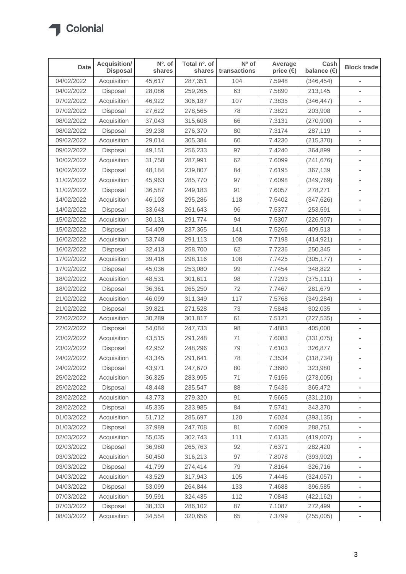

| <b>Date</b> | <b>Acquisition/</b><br><b>Disposal</b> | Nº. of<br>shares | Total nº. of<br>shares | Nº of<br>transactions | Average<br>price $(\epsilon)$ | Cash<br>balance $(\epsilon)$ | <b>Block trade</b>       |
|-------------|----------------------------------------|------------------|------------------------|-----------------------|-------------------------------|------------------------------|--------------------------|
| 04/02/2022  | Acquisition                            | 45,617           | 287,351                | 104                   | 7.5948                        | (346, 454)                   |                          |
| 04/02/2022  | Disposal                               | 28,086           | 259,265                | 63                    | 7.5890                        | 213,145                      |                          |
| 07/02/2022  | Acquisition                            | 46,922           | 306,187                | 107                   | 7.3835                        | (346, 447)                   |                          |
| 07/02/2022  | Disposal                               | 27,622           | 278,565                | 78                    | 7.3821                        | 203,908                      |                          |
| 08/02/2022  | Acquisition                            | 37,043           | 315,608                | 66                    | 7.3131                        | (270,900)                    |                          |
| 08/02/2022  | Disposal                               | 39,238           | 276,370                | 80                    | 7.3174                        | 287,119                      |                          |
| 09/02/2022  | Acquisition                            | 29,014           | 305,384                | 60                    | 7.4230                        | (215, 370)                   | $\overline{\phantom{a}}$ |
| 09/02/2022  | Disposal                               | 49,151           | 256,233                | 97                    | 7.4240                        | 364,899                      |                          |
| 10/02/2022  | Acquisition                            | 31,758           | 287,991                | 62                    | 7.6099                        | (241, 676)                   | ۰                        |
| 10/02/2022  | Disposal                               | 48,184           | 239,807                | 84                    | 7.6195                        | 367,139                      |                          |
| 11/02/2022  | Acquisition                            | 45,963           | 285,770                | 97                    | 7.6098                        | (349, 769)                   |                          |
| 11/02/2022  | Disposal                               | 36,587           | 249,183                | 91                    | 7.6057                        | 278,271                      |                          |
| 14/02/2022  | Acquisition                            | 46,103           | 295,286                | 118                   | 7.5402                        | (347, 626)                   |                          |
| 14/02/2022  | Disposal                               | 33,643           | 261,643                | 96                    | 7.5377                        | 253,591                      |                          |
| 15/02/2022  | Acquisition                            | 30,131           | 291,774                | 94                    | 7.5307                        | (226, 907)                   |                          |
| 15/02/2022  | Disposal                               | 54,409           | 237,365                | 141                   | 7.5266                        | 409,513                      | $\blacksquare$           |
| 16/02/2022  | Acquisition                            | 53,748           | 291,113                | 108                   | 7.7198                        | (414, 921)                   |                          |
| 16/02/2022  | Disposal                               | 32,413           | 258,700                | 62                    | 7.7236                        | 250,345                      |                          |
| 17/02/2022  | Acquisition                            | 39,416           | 298,116                | 108                   | 7.7425                        | (305, 177)                   | ×.                       |
| 17/02/2022  | Disposal                               | 45,036           | 253,080                | 99                    | 7.7454                        | 348,822                      |                          |
| 18/02/2022  | Acquisition                            | 48,531           | 301,611                | 98                    | 7.7293                        | (375, 111)                   | $\blacksquare$           |
| 18/02/2022  | Disposal                               | 36,361           | 265,250                | 72                    | 7.7467                        | 281,679                      |                          |
| 21/02/2022  | Acquisition                            | 46,099           | 311,349                | 117                   | 7.5768                        | (349, 284)                   |                          |
| 21/02/2022  | Disposal                               | 39,821           | 271,528                | 73                    | 7.5848                        | 302,035                      |                          |
| 22/02/2022  | Acquisition                            | 30,289           | 301,817                | 61                    | 7.5121                        | (227, 535)                   |                          |
| 22/02/2022  | Disposal                               | 54,084           | 247,733                | 98                    | 7.4883                        | 405,000                      | ۰                        |
| 23/02/2022  | Acquisition                            | 43,515           | 291,248                | 71                    | 7.6083                        | (331, 075)                   |                          |
| 23/02/2022  | Disposal                               | 42,952           | 248,296                | 79                    | 7.6103                        | 326,877                      |                          |
| 24/02/2022  | Acquisition                            | 43,345           | 291,641                | 78                    | 7.3534                        | (318, 734)                   | ۰                        |
| 24/02/2022  | Disposal                               | 43,971           | 247,670                | 80                    | 7.3680                        | 323,980                      |                          |
| 25/02/2022  | Acquisition                            | 36,325           | 283,995                | 71                    | 7.5156                        | (273,005)                    |                          |
| 25/02/2022  | Disposal                               | 48,448           | 235,547                | 88                    | 7.5436                        | 365,472                      |                          |
| 28/02/2022  | Acquisition                            | 43,773           | 279,320                | 91                    | 7.5665                        | (331,210)                    | ۰                        |
| 28/02/2022  | Disposal                               | 45,335           | 233,985                | 84                    | 7.5741                        | 343,370                      |                          |
| 01/03/2022  | Acquisition                            | 51,712           | 285,697                | 120                   | 7.6024                        | (393, 135)                   |                          |
| 01/03/2022  | Disposal                               | 37,989           | 247,708                | 81                    | 7.6009                        | 288,751                      |                          |
| 02/03/2022  | Acquisition                            | 55,035           | 302,743                | 111                   | 7.6135                        | (419,007)                    |                          |
| 02/03/2022  | Disposal                               | 36,980           | 265,763                | 92                    | 7.6371                        | 282,420                      | $\blacksquare$           |
| 03/03/2022  | Acquisition                            | 50,450           | 316,213                | 97                    | 7.8078                        | (393, 902)                   |                          |
| 03/03/2022  | Disposal                               | 41,799           | 274,414                | 79                    | 7.8164                        | 326,716                      |                          |
| 04/03/2022  | Acquisition                            | 43,529           | 317,943                | 105                   | 7.4446                        | (324, 057)                   |                          |
| 04/03/2022  | Disposal                               | 53,099           | 264,844                | 133                   | 7.4688                        | 396,585                      |                          |
| 07/03/2022  | Acquisition                            | 59,591           | 324,435                | 112                   | 7.0843                        | (422, 162)                   | ۰                        |
| 07/03/2022  | Disposal                               | 38,333           | 286,102                | 87                    | 7.1087                        | 272,499                      |                          |
| 08/03/2022  | Acquisition                            | 34,554           | 320,656                | 65                    | 7.3799                        | (255,005)                    | $\overline{\phantom{a}}$ |